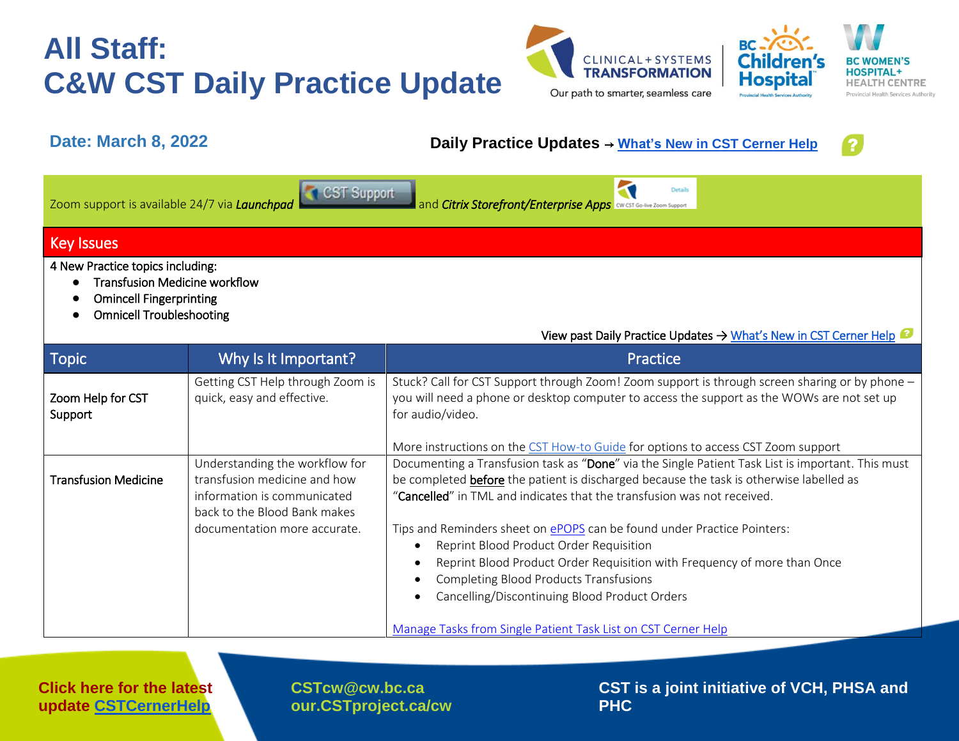## **All Staff: C&W CST Daily Practice Update**





## **Date: March 8, 2022 Daily Practice Updates** → **[What's New in CST Cerner Help](http://cstcernerhelp.healthcarebc.ca/#t=Whats_New%2FWhat_s_New.htm&rhsearch=favourites%20printer&rhsyns=%20)**



|                                              | <b>CST</b> Support |      |
|----------------------------------------------|--------------------|------|
| Zoom support is available 24/7 via Launchpad |                    | land |

*Zoom Support Citrix Storefront/Enterprise Apps* **Citrix** *Configure 200m Support* 

### Key Issues

4 New Practice topics including:

- Transfusion Medicine workflow
- Omincell Fingerprinting
- Omnicell Troubleshooting

| Topic                        | Why Is It Important?                                                                                                          | Practice                                                                                                                                                                                                                                                                                         |  |
|------------------------------|-------------------------------------------------------------------------------------------------------------------------------|--------------------------------------------------------------------------------------------------------------------------------------------------------------------------------------------------------------------------------------------------------------------------------------------------|--|
| Zoom Help for CST<br>Support | Getting CST Help through Zoom is<br>quick, easy and effective.                                                                | Stuck? Call for CST Support through Zoom! Zoom support is through screen sharing or by phone -<br>you will need a phone or desktop computer to access the support as the WOWs are not set up<br>for audio/video.                                                                                 |  |
|                              |                                                                                                                               | More instructions on the CST How-to Guide for options to access CST Zoom support                                                                                                                                                                                                                 |  |
| <b>Transfusion Medicine</b>  | Understanding the workflow for<br>transfusion medicine and how<br>information is communicated<br>back to the Blood Bank makes | Documenting a Transfusion task as "Done" via the Single Patient Task List is important. This must<br>be completed before the patient is discharged because the task is otherwise labelled as<br>"Cancelled" in TML and indicates that the transfusion was not received.                          |  |
|                              | documentation more accurate.                                                                                                  | Tips and Reminders sheet on ePOPS can be found under Practice Pointers:<br>Reprint Blood Product Order Requisition<br>Reprint Blood Product Order Requisition with Frequency of more than Once<br><b>Completing Blood Products Transfusions</b><br>Cancelling/Discontinuing Blood Product Orders |  |
|                              |                                                                                                                               | Manage Tasks from Single Patient Task List on CST Cerner Help                                                                                                                                                                                                                                    |  |

**Click here for the latest update [CSTCernerHelp](http://cstcernerhelp.healthcarebc.ca/#t=Whats_New%2FWhat_s_New.htm&rhsearch=favourites%20printer&rhsyns=%20)**

**[CSTcw@cw.bc.ca](mailto:CSTcw@cw.bc.ca)  our.CSTproject.ca/cw** **CST is a joint initiative of VCH, PHSA and PHC**

View past Daily Practice Updates [→ What's New in CST Cerner Help](http://cstcernerhelp.healthcarebc.ca/#t=Whats_New%2FWhat_s_New.htm&rhsearch=favourites%20printer&rhsyns=%20)

**Details** 

BC

dhiidi

**Hospita**